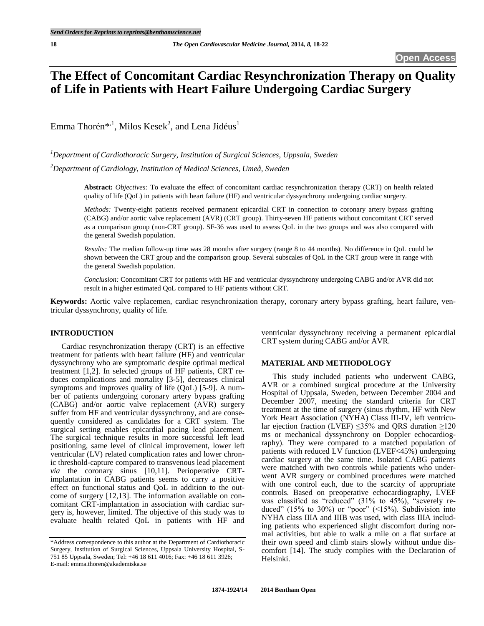# **The Effect of Concomitant Cardiac Resynchronization Therapy on Quality of Life in Patients with Heart Failure Undergoing Cardiac Surgery**

Emma Thorén $^{*,1}$ , Milos Kesek<sup>2</sup>, and Lena Jidéus<sup>1</sup>

*<sup>1</sup>Department of Cardiothoracic Surgery, Institution of Surgical Sciences, Uppsala, Sweden*

*<sup>2</sup>Department of Cardiology, Institution of Medical Sciences, Umeå, Sweden*

**Abstract:** *Objectives:* To evaluate the effect of concomitant cardiac resynchronization therapy (CRT) on health related quality of life (QoL) in patients with heart failure (HF) and ventricular dyssynchrony undergoing cardiac surgery.

*Methods:* Twenty-eight patients received permanent epicardial CRT in connection to coronary artery bypass grafting (CABG) and/or aortic valve replacement (AVR) (CRT group). Thirty-seven HF patients without concomitant CRT served as a comparison group (non-CRT group). SF-36 was used to assess QoL in the two groups and was also compared with the general Swedish population.

*Results:* The median follow-up time was 28 months after surgery (range 8 to 44 months). No difference in QoL could be shown between the CRT group and the comparison group. Several subscales of QoL in the CRT group were in range with the general Swedish population.

*Conclusion:* Concomitant CRT for patients with HF and ventricular dyssynchrony undergoing CABG and/or AVR did not result in a higher estimated QoL compared to HF patients without CRT.

**Keywords:** Aortic valve replacemen, cardiac resynchronization therapy, coronary artery bypass grafting, heart failure, ventricular dyssynchrony, quality of life.

# **INTRODUCTION**

Cardiac resynchronization therapy (CRT) is an effective treatment for patients with heart failure (HF) and ventricular dyssynchrony who are symptomatic despite optimal medical treatment [1,2]. In selected groups of HF patients, CRT reduces complications and mortality [3-5], decreases clinical symptoms and improves quality of life (QoL) [5-9]. A number of patients undergoing coronary artery bypass grafting (CABG) and/or aortic valve replacement (AVR) surgery suffer from HF and ventricular dyssynchrony, and are consequently considered as candidates for a CRT system. The surgical setting enables epicardial pacing lead placement. The surgical technique results in more successful left lead positioning, same level of clinical improvement, lower left ventricular (LV) related complication rates and lower chronic threshold-capture compared to transvenous lead placement *via* the coronary sinus [10,11]. Perioperative CRTimplantation in CABG patients seems to carry a positive effect on functional status and QoL in addition to the outcome of surgery [12,13]. The information available on concomitant CRT-implantation in association with cardiac surgery is, however, limited. The objective of this study was to evaluate health related QoL in patients with HF and

ventricular dyssynchrony receiving a permanent epicardial CRT system during CABG and/or AVR.

# **MATERIAL AND METHODOLOGY**

This study included patients who underwent CABG, AVR or a combined surgical procedure at the University Hospital of Uppsala, Sweden, between December 2004 and December 2007, meeting the standard criteria for CRT treatment at the time of surgery (sinus rhythm, HF with New York Heart Association (NYHA) Class III-IV, left ventricular ejection fraction (LVEF)  $\leq$ 35% and QRS duration  $\geq$ 120 ms or mechanical dyssynchrony on Doppler echocardiography). They were compared to a matched population of patients with reduced LV function (LVEF<45%) undergoing cardiac surgery at the same time. Isolated CABG patients were matched with two controls while patients who underwent AVR surgery or combined procedures were matched with one control each, due to the scarcity of appropriate controls. Based on preoperative echocardiography, LVEF was classified as "reduced" (31% to 45%), "severely reduced" (15% to 30%) or "poor"  $(15%)$ . Subdivision into NYHA class IIIA and IIIB was used, with class IIIA including patients who experienced slight discomfort during normal activities, but able to walk a mile on a flat surface at their own speed and climb stairs slowly without undue discomfort [14]. The study complies with the Declaration of Helsinki.

<sup>\*</sup>Address correspondence to this author at the Department of Cardiothoracic Surgery, Institution of Surgical Sciences, Uppsala University Hospital, S-751 85 Uppsala, Sweden; Tel: +46 18 611 4016; Fax: +46 18 611 3926; E-mail: emma.thoren@akademiska.se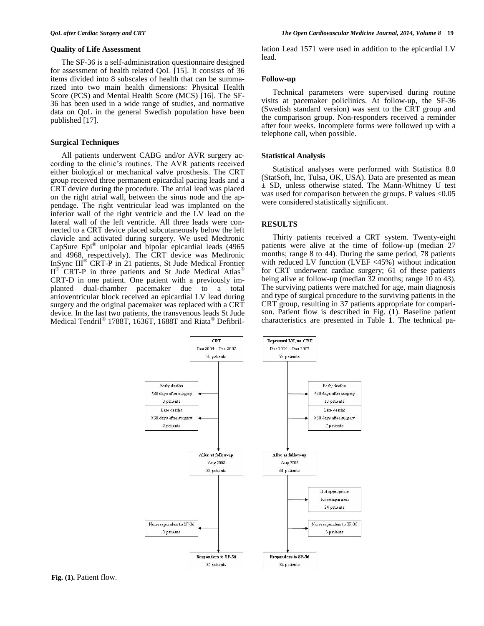#### **Quality of Life Assessment**

The SF-36 is a self-administration questionnaire designed for assessment of health related QoL [15]. It consists of 36 items divided into 8 subscales of health that can be summarized into two main health dimensions: Physical Health Score (PCS) and Mental Health Score (MCS) [16]. The SF-36 has been used in a wide range of studies, and normative data on QoL in the general Swedish population have been published [17].

#### **Surgical Techniques**

All patients underwent CABG and/or AVR surgery according to the clinic's routines. The AVR patients received either biological or mechanical valve prosthesis. The CRT group received three permanent epicardial pacing leads and a CRT device during the procedure. The atrial lead was placed on the right atrial wall, between the sinus node and the appendage. The right ventricular lead was implanted on the inferior wall of the right ventricle and the LV lead on the lateral wall of the left ventricle. All three leads were connected to a CRT device placed subcutaneously below the left clavicle and activated during surgery. We used Medtronic CapSure Epi® unipolar and bipolar epicardial leads (4965 and 4968, respectively). The CRT device was Medtronic InSync III® CRT-P in 21 patients, St Jude Medical Frontier II<sup>®</sup> CRT-P in three patients and St Jude Medical Atlas<sup>®</sup> CRT-D in one patient. One patient with a previously imdue to a total atrioventricular block received an epicardial LV lead during surgery and the original pacemaker was replaced with a CRT device. In the last two patients, the transvenous leads St Jude Medical Tendril® 1788T, 1636T, 1688T and Riata® Defibrillation Lead 1571 were used in addition to the epicardial LV lead.

#### **Follow-up**

Technical parameters were supervised during routine visits at pacemaker policlinics. At follow-up, the SF-36 (Swedish standard version) was sent to the CRT group and the comparison group. Non-responders received a reminder after four weeks. Incomplete forms were followed up with a telephone call, when possible.

#### **Statistical Analysis**

Statistical analyses were performed with Statistica 8.0 (StatSoft, Inc, Tulsa, OK, USA). Data are presented as mean ± SD, unless otherwise stated. The Mann-Whitney U test was used for comparison between the groups. P values <0.05 were considered statistically significant.

# **RESULTS**

Thirty patients received a CRT system. Twenty-eight patients were alive at the time of follow-up (median 27 months; range 8 to 44). During the same period, 78 patients with reduced LV function (LVEF <45%) without indication for CRT underwent cardiac surgery; 61 of these patients being alive at follow-up (median 32 months; range 10 to 43). The surviving patients were matched for age, main diagnosis and type of surgical procedure to the surviving patients in the CRT group, resulting in 37 patients appropriate for comparison. Patient flow is described in Fig. (**1**). Baseline patient characteristics are presented in Table **1**. The technical pa-

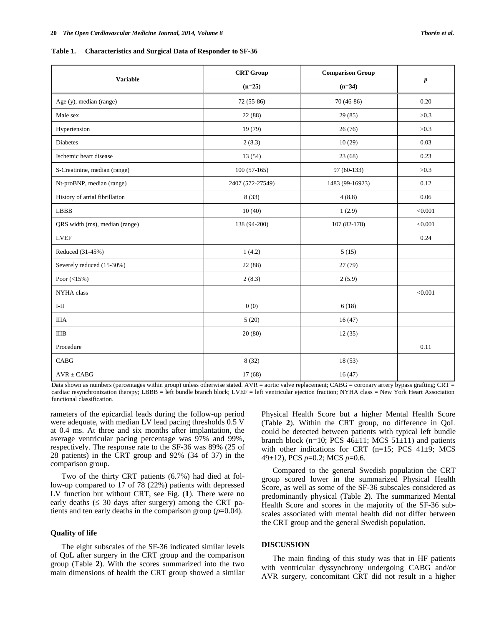**Table 1. Characteristics and Surgical Data of Responder to SF-36**

|                                | <b>CRT</b> Group | <b>Comparison Group</b> |           |  |
|--------------------------------|------------------|-------------------------|-----------|--|
| <b>Variable</b>                | $(n=25)$         | $(n=34)$                | $\pmb{p}$ |  |
| Age (y), median (range)        | $72(55-86)$      | $70(46-86)$             | 0.20      |  |
| Male sex                       | 22 (88)          | 29(85)                  | >0.3      |  |
| Hypertension                   | 19(79)           | 26(76)                  | >0.3      |  |
| <b>Diabetes</b>                | 2(8.3)           | 10(29)                  | 0.03      |  |
| Ischemic heart disease         | 13 (54)          | 23(68)                  | 0.23      |  |
| S-Creatinine, median (range)   | $100(57-165)$    | 97 (60-133)             | >0.3      |  |
| Nt-proBNP, median (range)      | 2407 (572-27549) | 1483 (99-16923)         | 0.12      |  |
| History of atrial fibrillation | 8(33)            | 4(8.8)                  | 0.06      |  |
| <b>LBBB</b>                    | 10(40)           | 1(2.9)                  | < 0.001   |  |
| QRS width (ms), median (range) | 138 (94-200)     | 107 (82-178)            | < 0.001   |  |
| <b>LVEF</b>                    |                  |                         | 0.24      |  |
| Reduced (31-45%)               | 1(4.2)           | 5(15)                   |           |  |
| Severely reduced (15-30%)      | 22 (88)          | 27 (79)                 |           |  |
| Poor $(<15\%)$                 | 2(8.3)           | 2(5.9)                  |           |  |
| NYHA class                     |                  |                         | < 0.001   |  |
| $\text{I-II}$                  | 0(0)             | 6(18)                   |           |  |
| <b>IIIA</b>                    | 5(20)            | 16(47)                  |           |  |
| $\rm IIIB$                     | 20(80)           | 12(35)                  |           |  |
| Procedure                      |                  |                         | 0.11      |  |
| CABG                           | 8(32)            | 18(53)                  |           |  |
| $AVR \pm CABG$                 | 17(68)           | 16(47)                  |           |  |

Data shown as numbers (percentages within group) unless otherwise stated. AVR = aortic valve replacement; CABG = coronary artery bypass grafting; CRT = cardiac resynchronization therapy; LBBB = left bundle branch block; LVEF = left ventricular ejection fraction; NYHA class = New York Heart Association functional classification.

rameters of the epicardial leads during the follow-up period were adequate, with median LV lead pacing thresholds 0.5 V at 0.4 ms. At three and six months after implantation, the average ventricular pacing percentage was 97% and 99%, respectively. The response rate to the SF-36 was 89% (25 of 28 patients) in the CRT group and 92% (34 of 37) in the comparison group.

Two of the thirty CRT patients (6.7%) had died at follow-up compared to 17 of 78 (22%) patients with depressed LV function but without CRT, see Fig. (**1**). There were no early deaths  $(\leq 30$  days after surgery) among the CRT patients and ten early deaths in the comparison group (*p*=0.04).

## **Quality of life**

The eight subscales of the SF-36 indicated similar levels of QoL after surgery in the CRT group and the comparison group (Table **2**). With the scores summarized into the two main dimensions of health the CRT group showed a similar Physical Health Score but a higher Mental Health Score (Table **2**). Within the CRT group, no difference in QoL could be detected between patients with typical left bundle branch block (n=10; PCS  $46\pm11$ ; MCS  $51\pm11$ ) and patients with other indications for CRT ( $n=15$ ; PCS 41 $\pm$ 9; MCS 49±12), PCS *p*=0.2; MCS *p*=0.6.

Compared to the general Swedish population the CRT group scored lower in the summarized Physical Health Score, as well as some of the SF-36 subscales considered as predominantly physical (Table **2**). The summarized Mental Health Score and scores in the majority of the SF-36 subscales associated with mental health did not differ between the CRT group and the general Swedish population.

#### **DISCUSSION**

The main finding of this study was that in HF patients with ventricular dyssynchrony undergoing CABG and/or AVR surgery, concomitant CRT did not result in a higher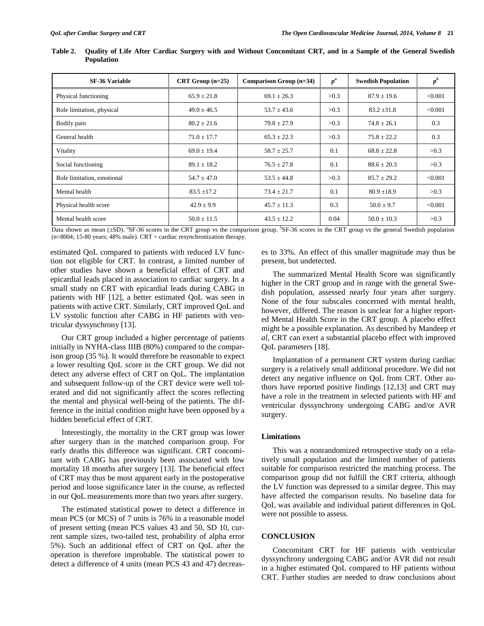| <b>SF-36 Variable</b>      | $CRT Group (n=25)$ | Comparison Group $(n=34)$ | $p^a$ | <b>Swedish Population</b> | $p^b$   |
|----------------------------|--------------------|---------------------------|-------|---------------------------|---------|
| Physical functioning       | $65.9 \pm 21.8$    | $69.1 \pm 26.3$           | >0.3  | $87.9 + 19.6$             | < 0.001 |
| Role limitation, physical  | $49.0 \pm 46.5$    | $53.7 \pm 43.6$           | >0.3  | $83.2 + 31.8$             | < 0.001 |
| Bodily pain                | $80.2 \pm 21.6$    | $79.8 \pm 27.9$           | >0.3  | $74.8 \pm 26.1$           | 0.3     |
| General health             | $71.0 \pm 17.7$    | $65.3 \pm 22.3$           | >0.3  | $75.8 + 22.2$             | 0.3     |
| Vitality                   | $69.0 \pm 19.4$    | $58.7 \pm 25.7$           | 0.1   | $68.8 \pm 22.8$           | >0.3    |
| Social functioning         | $89.1 \pm 18.2$    | $76.5 \pm 27.8$           | 0.1   | $88.6 + 20.3$             | >0.3    |
| Role limitation, emotional | $54.7 \pm 47.0$    | $53.5 \pm 44.8$           | >0.3  | $85.7 + 29.2$             | < 0.001 |
| Mental health              | $83.5 \pm 17.2$    | $73.4 \pm 21.7$           | 0.1   | $80.9 \pm 18.9$           | >0.3    |
| Physical health score      | $42.9 \pm 9.9$     | $45.7 \pm 11.3$           | 0.3   | $50.0 \pm 9.7$            | < 0.001 |
| Mental health score        | $50.0 \pm 11.5$    | $43.5 \pm 12.2$           | 0.04  | $50.0 \pm 10.3$           | >0.3    |

**Table 2. Quality of Life After Cardiac Surgery with and Without Concomitant CRT, and in a Sample of the General Swedish Population**

Data shown as mean (±SD). "SF-36 scores in the CRT group vs the comparison group. "SF-36 scores in the CRT group vs the general Swedish population  $(n=8004; 15-80 \text{ years}; 48\% \text{ male})$ . CRT = cardiac resynchronization therapy.

estimated QoL compared to patients with reduced LV function not eligible for CRT. In contrast, a limited number of other studies have shown a beneficial effect of CRT and epicardial leads placed in association to cardiac surgery. In a small study on CRT with epicardial leads during CABG in patients with HF [12], a better estimated QoL was seen in patients with active CRT. Similarly, CRT improved QoL and LV systolic function after CABG in HF patients with ventricular dyssynchrony [13].

Our CRT group included a higher percentage of patients initially in NYHA-class IIIB (80%) compared to the comparison group (35 %). It would therefore be reasonable to expect a lower resulting QoL score in the CRT group. We did not detect any adverse effect of CRT on QoL. The implantation and subsequent follow-up of the CRT device were well tolerated and did not significantly affect the scores reflecting the mental and physical well-being of the patients. The difference in the initial condition might have been opposed by a hidden beneficial effect of CRT.

Interestingly, the mortality in the CRT group was lower after surgery than in the matched comparison group. For early deaths this difference was significant. CRT concomitant with CABG has previously been associated with low mortality 18 months after surgery [13]. The beneficial effect of CRT may thus be most apparent early in the postoperative period and loose significance later in the course, as reflected in our QoL measurements more than two years after surgery.

The estimated statistical power to detect a difference in mean PCS (or MCS) of 7 units is 76% in a reasonable model of present setting (mean PCS values 43 and 50, SD 10, current sample sizes, two-tailed test, probability of alpha error 5%). Such an additional effect of CRT on QoL after the operation is therefore improbable. The statistical power to detect a difference of 4 units (mean PCS 43 and 47) decreases to 33%. An effect of this smaller magnitude may thus be present, but undetected.

The summarized Mental Health Score was significantly higher in the CRT group and in range with the general Swedish population, assessed nearly four years after surgery. None of the four subscales concerned with mental health, however, differed. The reason is unclear for a higher reported Mental Health Score in the CRT group. A placebo effect might be a possible explanation. As described by Mandeep *et al*, CRT can exert a substantial placebo effect with improved QoL parameters [18].

Implantation of a permanent CRT system during cardiac surgery is a relatively small additional procedure. We did not detect any negative influence on QoL from CRT. Other authors have reported positive findings [12,13] and CRT may have a role in the treatment in selected patients with HF and ventricular dyssynchrony undergoing CABG and/or AVR surgery.

# **Limitations**

This was a nonrandomized retrospective study on a relatively small population and the limited number of patients suitable for comparison restricted the matching process. The comparison group did not fulfill the CRT criteria, although the LV function was depressed to a similar degree. This may have affected the comparison results. No baseline data for QoL was available and individual patient differences in QoL were not possible to assess.

#### **CONCLUSION**

Concomitant CRT for HF patients with ventricular dyssynchrony undergoing CABG and/or AVR did not result in a higher estimated QoL compared to HF patients without CRT. Further studies are needed to draw conclusions about